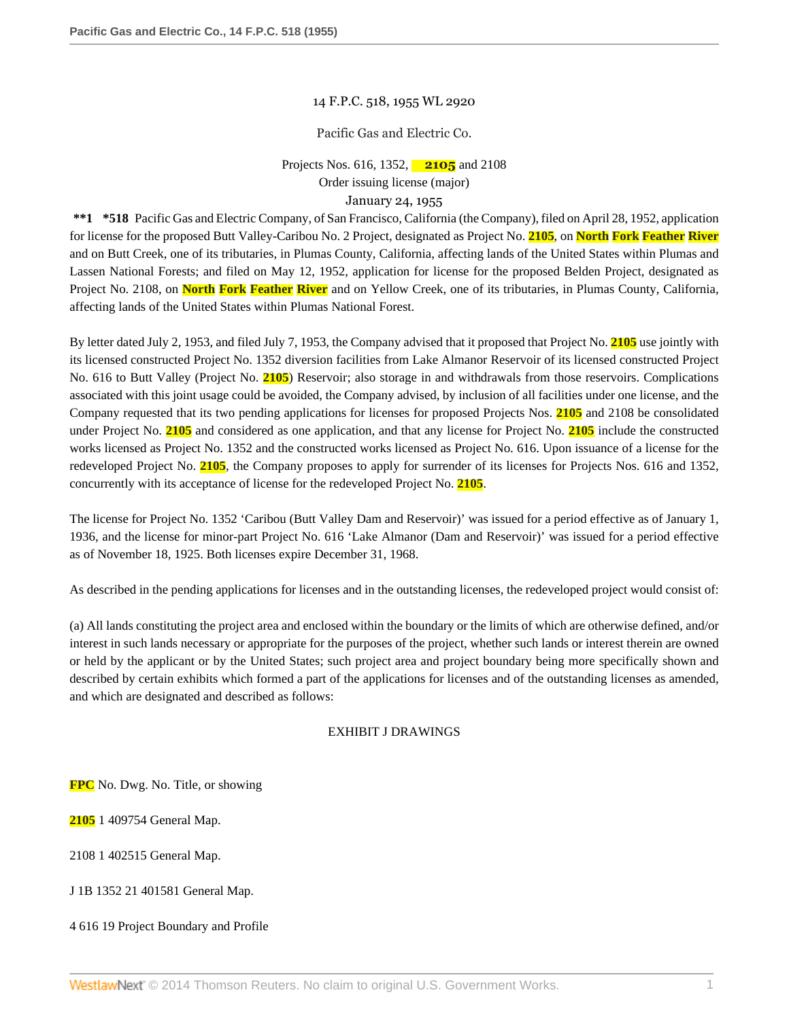### 14 F.P.C. 518, 1955 WL 2920

### Pacific Gas and Electric Co.

Projects Nos. 616, 1352, **2105** and 2108 Order issuing license (major)

# January 24, 1955

**\*\*1 \*518** Pacific Gas and Electric Company, of San Francisco, California (the Company), filed on April 28, 1952, application for license for the proposed Butt Valley-Caribou No. 2 Project, designated as Project No. **2105**, on **North Fork Feather River** and on Butt Creek, one of its tributaries, in Plumas County, California, affecting lands of the United States within Plumas and Lassen National Forests; and filed on May 12, 1952, application for license for the proposed Belden Project, designated as Project No. 2108, on **North Fork Feather River** and on Yellow Creek, one of its tributaries, in Plumas County, California, affecting lands of the United States within Plumas National Forest.

By letter dated July 2, 1953, and filed July 7, 1953, the Company advised that it proposed that Project No. **2105** use jointly with its licensed constructed Project No. 1352 diversion facilities from Lake Almanor Reservoir of its licensed constructed Project No. 616 to Butt Valley (Project No. **2105**) Reservoir; also storage in and withdrawals from those reservoirs. Complications associated with this joint usage could be avoided, the Company advised, by inclusion of all facilities under one license, and the Company requested that its two pending applications for licenses for proposed Projects Nos. **2105** and 2108 be consolidated under Project No. **2105** and considered as one application, and that any license for Project No. **2105** include the constructed works licensed as Project No. 1352 and the constructed works licensed as Project No. 616. Upon issuance of a license for the redeveloped Project No. **2105**, the Company proposes to apply for surrender of its licenses for Projects Nos. 616 and 1352, concurrently with its acceptance of license for the redeveloped Project No. **2105**.

The license for Project No. 1352 'Caribou (Butt Valley Dam and Reservoir)' was issued for a period effective as of January 1, 1936, and the license for minor-part Project No. 616 'Lake Almanor (Dam and Reservoir)' was issued for a period effective as of November 18, 1925. Both licenses expire December 31, 1968.

As described in the pending applications for licenses and in the outstanding licenses, the redeveloped project would consist of:

(a) All lands constituting the project area and enclosed within the boundary or the limits of which are otherwise defined, and/or interest in such lands necessary or appropriate for the purposes of the project, whether such lands or interest therein are owned or held by the applicant or by the United States; such project area and project boundary being more specifically shown and described by certain exhibits which formed a part of the applications for licenses and of the outstanding licenses as amended, and which are designated and described as follows:

### EXHIBIT J DRAWINGS

**FPC** No. Dwg. No. Title, or showing

**2105** 1 409754 General Map.

2108 1 402515 General Map.

J 1B 1352 21 401581 General Map.

4 616 19 Project Boundary and Profile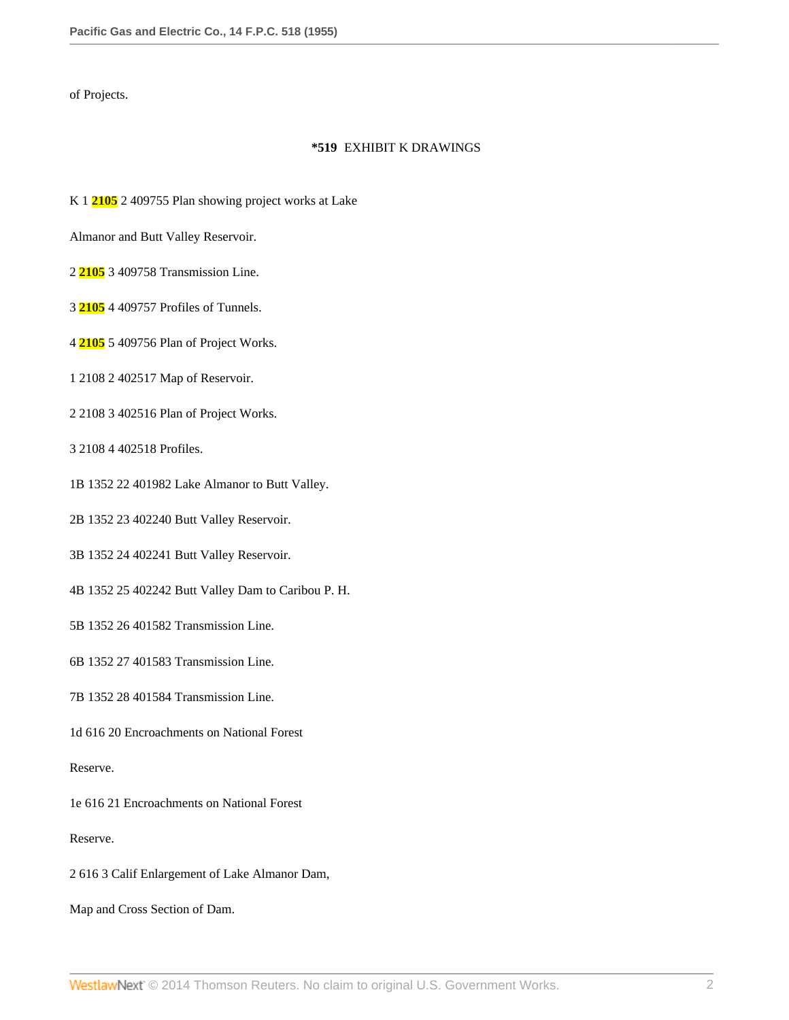of Projects.

### **\*519** EXHIBIT K DRAWINGS

K 1 **2105** 2 409755 Plan showing project works at Lake

Almanor and Butt Valley Reservoir.

- 2 **2105** 3 409758 Transmission Line.
- 3 **2105** 4 409757 Profiles of Tunnels.
- 4 **2105** 5 409756 Plan of Project Works.
- 1 2108 2 402517 Map of Reservoir.
- 2 2108 3 402516 Plan of Project Works.
- 3 2108 4 402518 Profiles.
- 1B 1352 22 401982 Lake Almanor to Butt Valley.
- 2B 1352 23 402240 Butt Valley Reservoir.
- 3B 1352 24 402241 Butt Valley Reservoir.
- 4B 1352 25 402242 Butt Valley Dam to Caribou P. H.
- 5B 1352 26 401582 Transmission Line.
- 6B 1352 27 401583 Transmission Line.
- 7B 1352 28 401584 Transmission Line.
- 1d 616 20 Encroachments on National Forest

Reserve.

1e 616 21 Encroachments on National Forest

Reserve.

- 2 616 3 Calif Enlargement of Lake Almanor Dam,
- Map and Cross Section of Dam.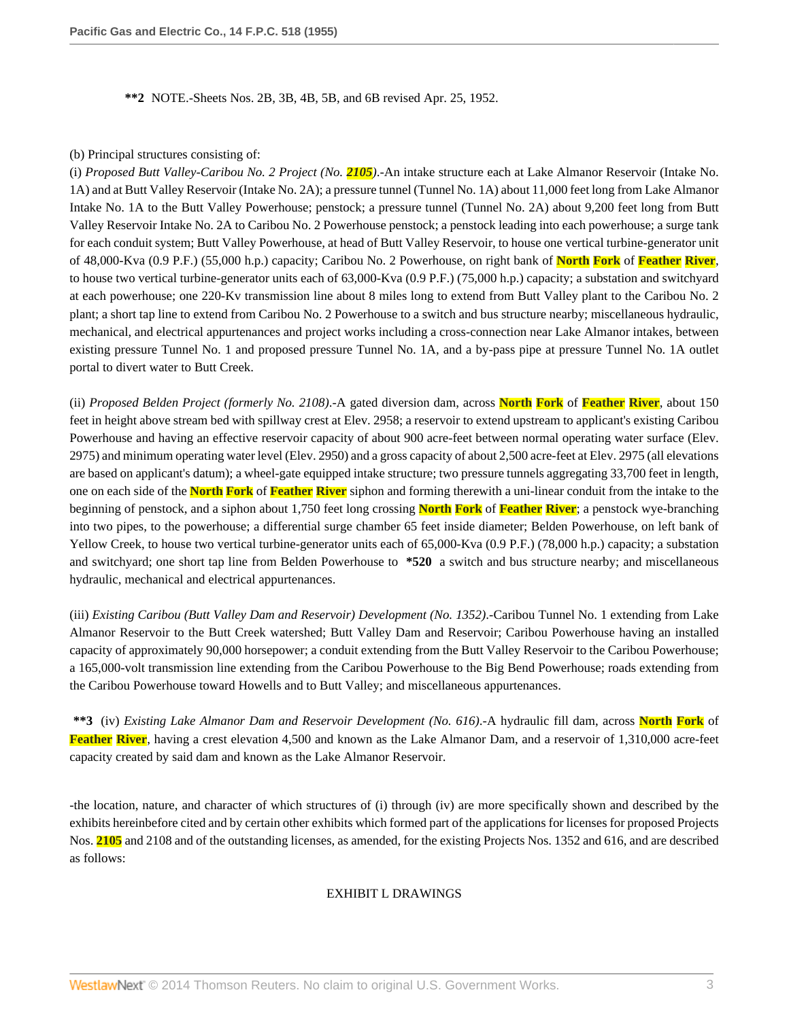**\*\*2** NOTE.-Sheets Nos. 2B, 3B, 4B, 5B, and 6B revised Apr. 25, 1952.

#### (b) Principal structures consisting of:

(i) *Proposed Butt Valley-Caribou No. 2 Project (No. 2105)*.-An intake structure each at Lake Almanor Reservoir (Intake No. 1A) and at Butt Valley Reservoir (Intake No. 2A); a pressure tunnel (Tunnel No. 1A) about 11,000 feet long from Lake Almanor Intake No. 1A to the Butt Valley Powerhouse; penstock; a pressure tunnel (Tunnel No. 2A) about 9,200 feet long from Butt Valley Reservoir Intake No. 2A to Caribou No. 2 Powerhouse penstock; a penstock leading into each powerhouse; a surge tank for each conduit system; Butt Valley Powerhouse, at head of Butt Valley Reservoir, to house one vertical turbine-generator unit of 48,000-Kva (0.9 P.F.) (55,000 h.p.) capacity; Caribou No. 2 Powerhouse, on right bank of **North Fork** of **Feather River**, to house two vertical turbine-generator units each of 63,000-Kva (0.9 P.F.) (75,000 h.p.) capacity; a substation and switchyard at each powerhouse; one 220-Kv transmission line about 8 miles long to extend from Butt Valley plant to the Caribou No. 2 plant; a short tap line to extend from Caribou No. 2 Powerhouse to a switch and bus structure nearby; miscellaneous hydraulic, mechanical, and electrical appurtenances and project works including a cross-connection near Lake Almanor intakes, between existing pressure Tunnel No. 1 and proposed pressure Tunnel No. 1A, and a by-pass pipe at pressure Tunnel No. 1A outlet portal to divert water to Butt Creek.

(ii) *Proposed Belden Project (formerly No. 2108)*.-A gated diversion dam, across **North Fork** of **Feather River**, about 150 feet in height above stream bed with spillway crest at Elev. 2958; a reservoir to extend upstream to applicant's existing Caribou Powerhouse and having an effective reservoir capacity of about 900 acre-feet between normal operating water surface (Elev. 2975) and minimum operating water level (Elev. 2950) and a gross capacity of about 2,500 acre-feet at Elev. 2975 (all elevations are based on applicant's datum); a wheel-gate equipped intake structure; two pressure tunnels aggregating 33,700 feet in length, one on each side of the **North Fork** of **Feather River** siphon and forming therewith a uni-linear conduit from the intake to the beginning of penstock, and a siphon about 1,750 feet long crossing **North Fork** of **Feather River**; a penstock wye-branching into two pipes, to the powerhouse; a differential surge chamber 65 feet inside diameter; Belden Powerhouse, on left bank of Yellow Creek, to house two vertical turbine-generator units each of 65,000-Kva (0.9 P.F.) (78,000 h.p.) capacity; a substation and switchyard; one short tap line from Belden Powerhouse to **\*520** a switch and bus structure nearby; and miscellaneous hydraulic, mechanical and electrical appurtenances.

(iii) *Existing Caribou (Butt Valley Dam and Reservoir) Development (No. 1352)*.-Caribou Tunnel No. 1 extending from Lake Almanor Reservoir to the Butt Creek watershed; Butt Valley Dam and Reservoir; Caribou Powerhouse having an installed capacity of approximately 90,000 horsepower; a conduit extending from the Butt Valley Reservoir to the Caribou Powerhouse; a 165,000-volt transmission line extending from the Caribou Powerhouse to the Big Bend Powerhouse; roads extending from the Caribou Powerhouse toward Howells and to Butt Valley; and miscellaneous appurtenances.

**\*\*3** (iv) *Existing Lake Almanor Dam and Reservoir Development (No. 616)*.-A hydraulic fill dam, across **North Fork** of **Feather River**, having a crest elevation 4,500 and known as the Lake Almanor Dam, and a reservoir of 1,310,000 acre-feet capacity created by said dam and known as the Lake Almanor Reservoir.

-the location, nature, and character of which structures of (i) through (iv) are more specifically shown and described by the exhibits hereinbefore cited and by certain other exhibits which formed part of the applications for licenses for proposed Projects Nos. **2105** and 2108 and of the outstanding licenses, as amended, for the existing Projects Nos. 1352 and 616, and are described as follows:

# EXHIBIT L DRAWINGS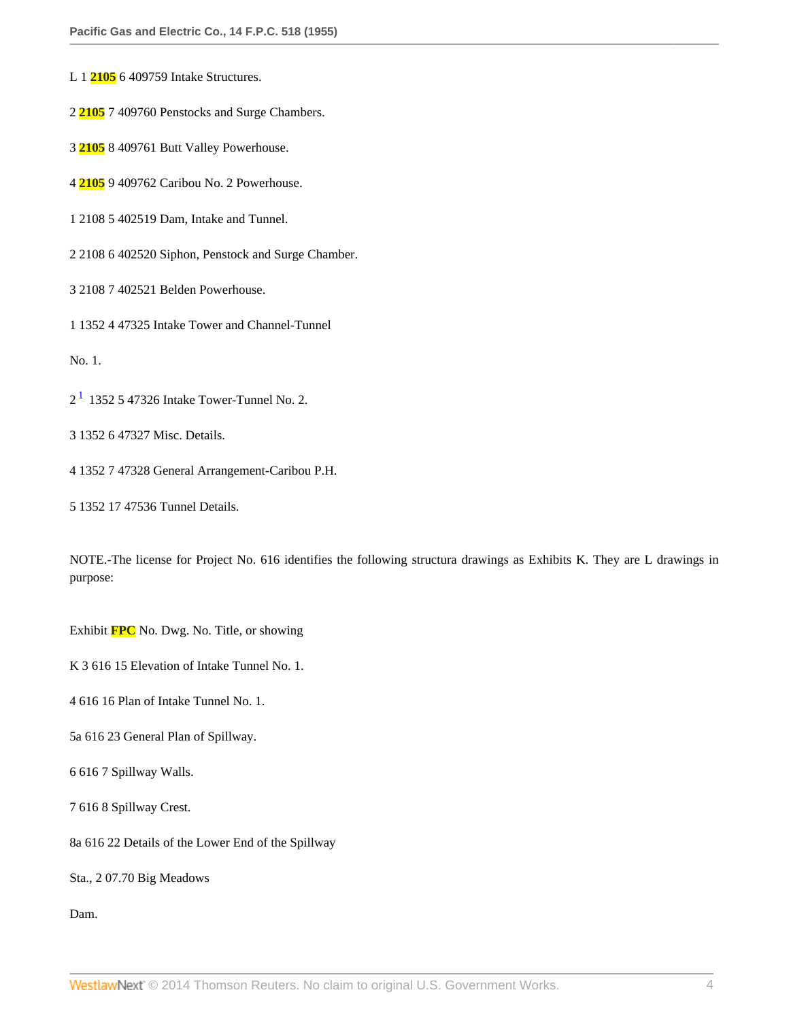- L 1 **2105** 6 409759 Intake Structures.
- 2 **2105** 7 409760 Penstocks and Surge Chambers.
- 3 **2105** 8 409761 Butt Valley Powerhouse.
- 4 **2105** 9 409762 Caribou No. 2 Powerhouse.
- 1 2108 5 402519 Dam, Intake and Tunnel.
- 2 2108 6 402520 Siphon, Penstock and Surge Chamber.
- 3 2108 7 402521 Belden Powerhouse.
- 1 1352 4 47325 Intake Tower and Channel-Tunnel

No. 1.

- <span id="page-3-0"></span> $2<sup>1</sup>$  $2<sup>1</sup>$  $2<sup>1</sup>$  1352 5 47326 Intake Tower-Tunnel No. 2.
- 3 1352 6 47327 Misc. Details.
- 4 1352 7 47328 General Arrangement-Caribou P.H.
- 5 1352 17 47536 Tunnel Details.

NOTE.-The license for Project No. 616 identifies the following structura drawings as Exhibits K. They are L drawings in purpose:

Exhibit **FPC** No. Dwg. No. Title, or showing

K 3 616 15 Elevation of Intake Tunnel No. 1.

4 616 16 Plan of Intake Tunnel No. 1.

- 5a 616 23 General Plan of Spillway.
- 6 616 7 Spillway Walls.
- 7 616 8 Spillway Crest.
- 8a 616 22 Details of the Lower End of the Spillway

Sta., 2 07.70 Big Meadows

Dam.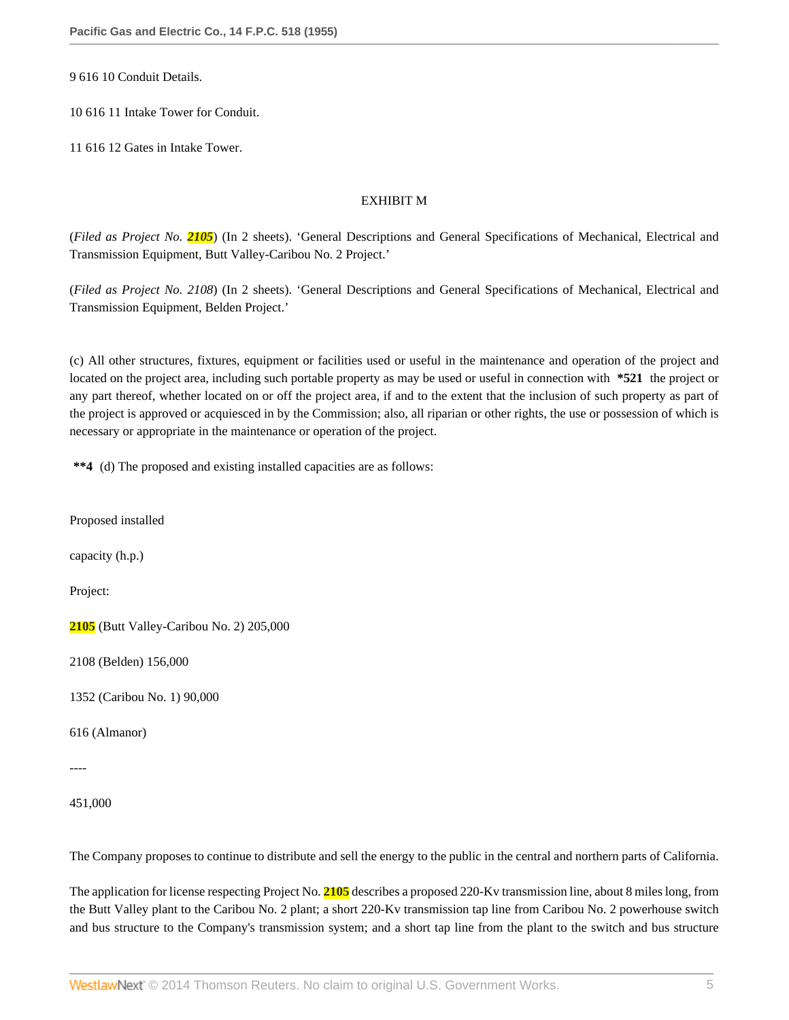9 616 10 Conduit Details.

10 616 11 Intake Tower for Conduit.

11 616 12 Gates in Intake Tower.

### EXHIBIT M

(*Filed as Project No. 2105*) (In 2 sheets). 'General Descriptions and General Specifications of Mechanical, Electrical and Transmission Equipment, Butt Valley-Caribou No. 2 Project.'

(*Filed as Project No. 2108*) (In 2 sheets). 'General Descriptions and General Specifications of Mechanical, Electrical and Transmission Equipment, Belden Project.'

(c) All other structures, fixtures, equipment or facilities used or useful in the maintenance and operation of the project and located on the project area, including such portable property as may be used or useful in connection with **\*521** the project or any part thereof, whether located on or off the project area, if and to the extent that the inclusion of such property as part of the project is approved or acquiesced in by the Commission; also, all riparian or other rights, the use or possession of which is necessary or appropriate in the maintenance or operation of the project.

**\*\*4** (d) The proposed and existing installed capacities are as follows:

Proposed installed

capacity (h.p.)

Project:

**2105** (Butt Valley-Caribou No. 2) 205,000

2108 (Belden) 156,000

1352 (Caribou No. 1) 90,000

616 (Almanor)

----

451,000

The Company proposes to continue to distribute and sell the energy to the public in the central and northern parts of California.

The application for license respecting Project No. **2105** describes a proposed 220-Kv transmission line, about 8 miles long, from the Butt Valley plant to the Caribou No. 2 plant; a short 220-Kv transmission tap line from Caribou No. 2 powerhouse switch and bus structure to the Company's transmission system; and a short tap line from the plant to the switch and bus structure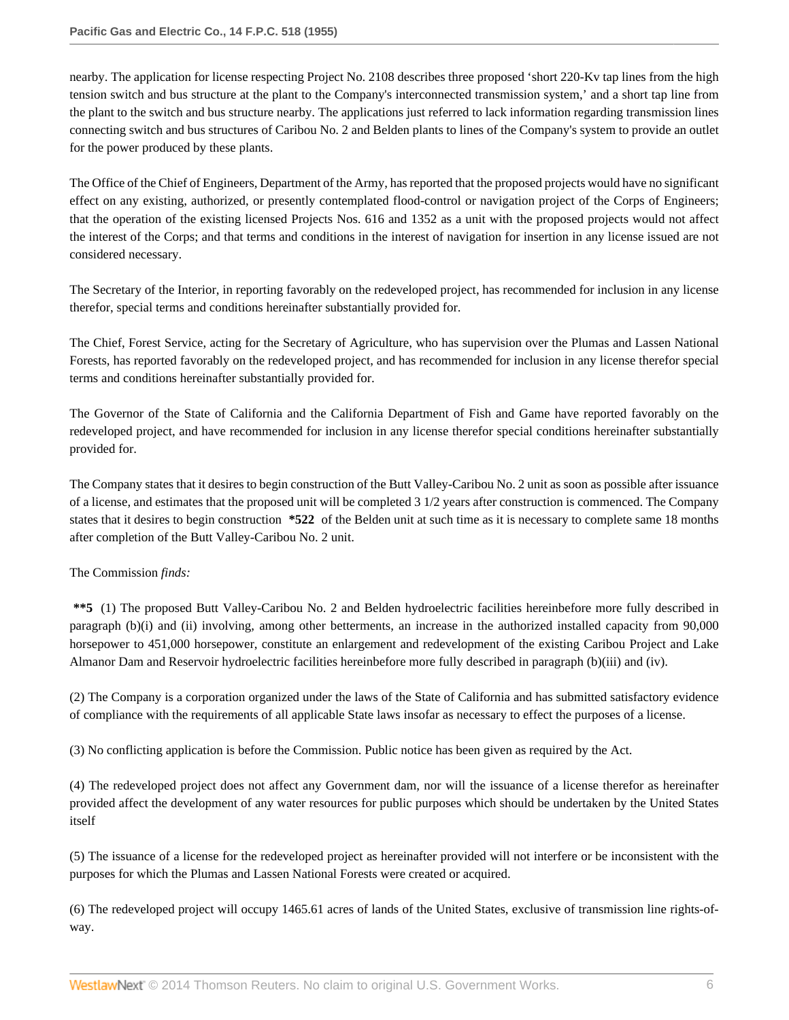nearby. The application for license respecting Project No. 2108 describes three proposed 'short 220-Kv tap lines from the high tension switch and bus structure at the plant to the Company's interconnected transmission system,' and a short tap line from the plant to the switch and bus structure nearby. The applications just referred to lack information regarding transmission lines connecting switch and bus structures of Caribou No. 2 and Belden plants to lines of the Company's system to provide an outlet for the power produced by these plants.

The Office of the Chief of Engineers, Department of the Army, has reported that the proposed projects would have no significant effect on any existing, authorized, or presently contemplated flood-control or navigation project of the Corps of Engineers; that the operation of the existing licensed Projects Nos. 616 and 1352 as a unit with the proposed projects would not affect the interest of the Corps; and that terms and conditions in the interest of navigation for insertion in any license issued are not considered necessary.

The Secretary of the Interior, in reporting favorably on the redeveloped project, has recommended for inclusion in any license therefor, special terms and conditions hereinafter substantially provided for.

The Chief, Forest Service, acting for the Secretary of Agriculture, who has supervision over the Plumas and Lassen National Forests, has reported favorably on the redeveloped project, and has recommended for inclusion in any license therefor special terms and conditions hereinafter substantially provided for.

The Governor of the State of California and the California Department of Fish and Game have reported favorably on the redeveloped project, and have recommended for inclusion in any license therefor special conditions hereinafter substantially provided for.

The Company states that it desires to begin construction of the Butt Valley-Caribou No. 2 unit as soon as possible after issuance of a license, and estimates that the proposed unit will be completed 3 1/2 years after construction is commenced. The Company states that it desires to begin construction **\*522** of the Belden unit at such time as it is necessary to complete same 18 months after completion of the Butt Valley-Caribou No. 2 unit.

# The Commission *finds:*

**\*\*5** (1) The proposed Butt Valley-Caribou No. 2 and Belden hydroelectric facilities hereinbefore more fully described in paragraph (b)(i) and (ii) involving, among other betterments, an increase in the authorized installed capacity from 90,000 horsepower to 451,000 horsepower, constitute an enlargement and redevelopment of the existing Caribou Project and Lake Almanor Dam and Reservoir hydroelectric facilities hereinbefore more fully described in paragraph (b)(iii) and (iv).

(2) The Company is a corporation organized under the laws of the State of California and has submitted satisfactory evidence of compliance with the requirements of all applicable State laws insofar as necessary to effect the purposes of a license.

(3) No conflicting application is before the Commission. Public notice has been given as required by the Act.

(4) The redeveloped project does not affect any Government dam, nor will the issuance of a license therefor as hereinafter provided affect the development of any water resources for public purposes which should be undertaken by the United States itself

(5) The issuance of a license for the redeveloped project as hereinafter provided will not interfere or be inconsistent with the purposes for which the Plumas and Lassen National Forests were created or acquired.

(6) The redeveloped project will occupy 1465.61 acres of lands of the United States, exclusive of transmission line rights-ofway.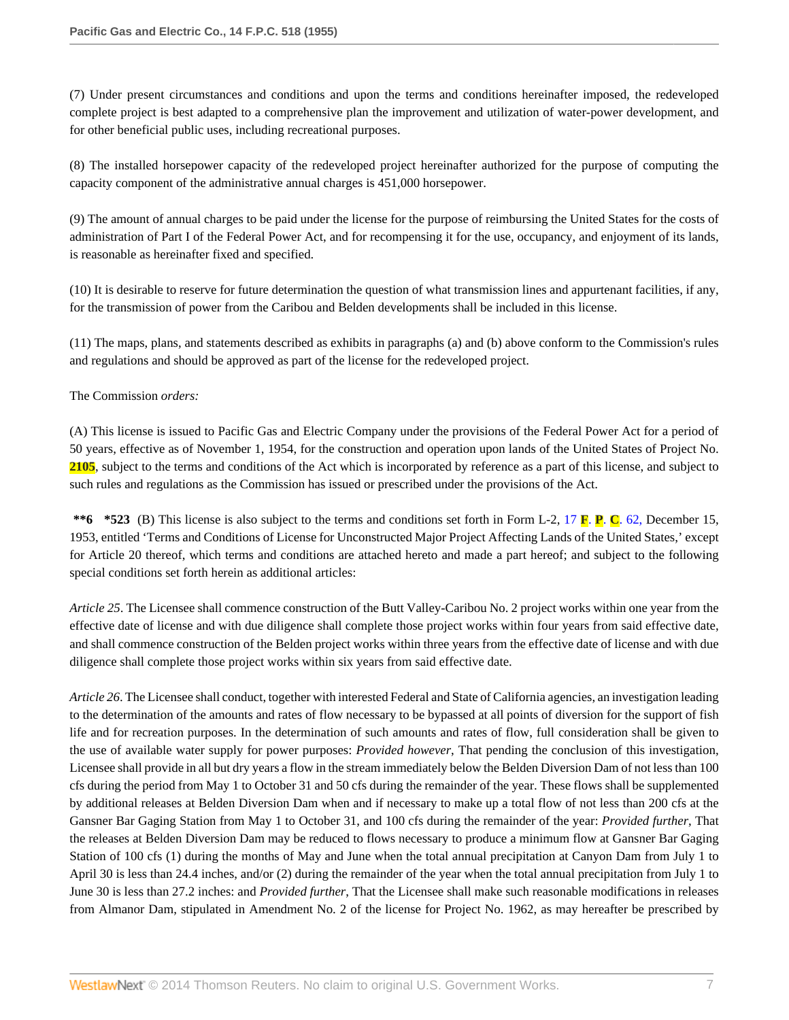(7) Under present circumstances and conditions and upon the terms and conditions hereinafter imposed, the redeveloped complete project is best adapted to a comprehensive plan the improvement and utilization of water-power development, and for other beneficial public uses, including recreational purposes.

(8) The installed horsepower capacity of the redeveloped project hereinafter authorized for the purpose of computing the capacity component of the administrative annual charges is 451,000 horsepower.

(9) The amount of annual charges to be paid under the license for the purpose of reimbursing the United States for the costs of administration of Part I of the Federal Power Act, and for recompensing it for the use, occupancy, and enjoyment of its lands, is reasonable as hereinafter fixed and specified.

(10) It is desirable to reserve for future determination the question of what transmission lines and appurtenant facilities, if any, for the transmission of power from the Caribou and Belden developments shall be included in this license.

(11) The maps, plans, and statements described as exhibits in paragraphs (a) and (b) above conform to the Commission's rules and regulations and should be approved as part of the license for the redeveloped project.

### The Commission *orders:*

(A) This license is issued to Pacific Gas and Electric Company under the provisions of the Federal Power Act for a period of 50 years, effective as of November 1, 1954, for the construction and operation upon lands of the United States of Project No. **2105**, subject to the terms and conditions of the Act which is incorporated by reference as a part of this license, and subject to such rules and regulations as the Commission has issued or prescribed under the provisions of the Act.

**\*\*6 \*523** (B) This license is also subject to the terms and conditions set forth in Form L-2, 17 **F**. **P**. **C**[. 62,](http://www.westlaw.com/Link/Document/FullText?findType=Y&serNum=1957052752&pubNum=921&originationContext=document&vr=3.0&rs=cblt1.0&transitionType=DocumentItem&contextData=(sc.Search)) December 15, 1953, entitled 'Terms and Conditions of License for Unconstructed Major Project Affecting Lands of the United States,' except for Article 20 thereof, which terms and conditions are attached hereto and made a part hereof; and subject to the following special conditions set forth herein as additional articles:

*Article 25*. The Licensee shall commence construction of the Butt Valley-Caribou No. 2 project works within one year from the effective date of license and with due diligence shall complete those project works within four years from said effective date, and shall commence construction of the Belden project works within three years from the effective date of license and with due diligence shall complete those project works within six years from said effective date.

*Article 26*. The Licensee shall conduct, together with interested Federal and State of California agencies, an investigation leading to the determination of the amounts and rates of flow necessary to be bypassed at all points of diversion for the support of fish life and for recreation purposes. In the determination of such amounts and rates of flow, full consideration shall be given to the use of available water supply for power purposes: *Provided however*, That pending the conclusion of this investigation, Licensee shall provide in all but dry years a flow in the stream immediately below the Belden Diversion Dam of not less than 100 cfs during the period from May 1 to October 31 and 50 cfs during the remainder of the year. These flows shall be supplemented by additional releases at Belden Diversion Dam when and if necessary to make up a total flow of not less than 200 cfs at the Gansner Bar Gaging Station from May 1 to October 31, and 100 cfs during the remainder of the year: *Provided further*, That the releases at Belden Diversion Dam may be reduced to flows necessary to produce a minimum flow at Gansner Bar Gaging Station of 100 cfs (1) during the months of May and June when the total annual precipitation at Canyon Dam from July 1 to April 30 is less than 24.4 inches, and/or (2) during the remainder of the year when the total annual precipitation from July 1 to June 30 is less than 27.2 inches: and *Provided further*, That the Licensee shall make such reasonable modifications in releases from Almanor Dam, stipulated in Amendment No. 2 of the license for Project No. 1962, as may hereafter be prescribed by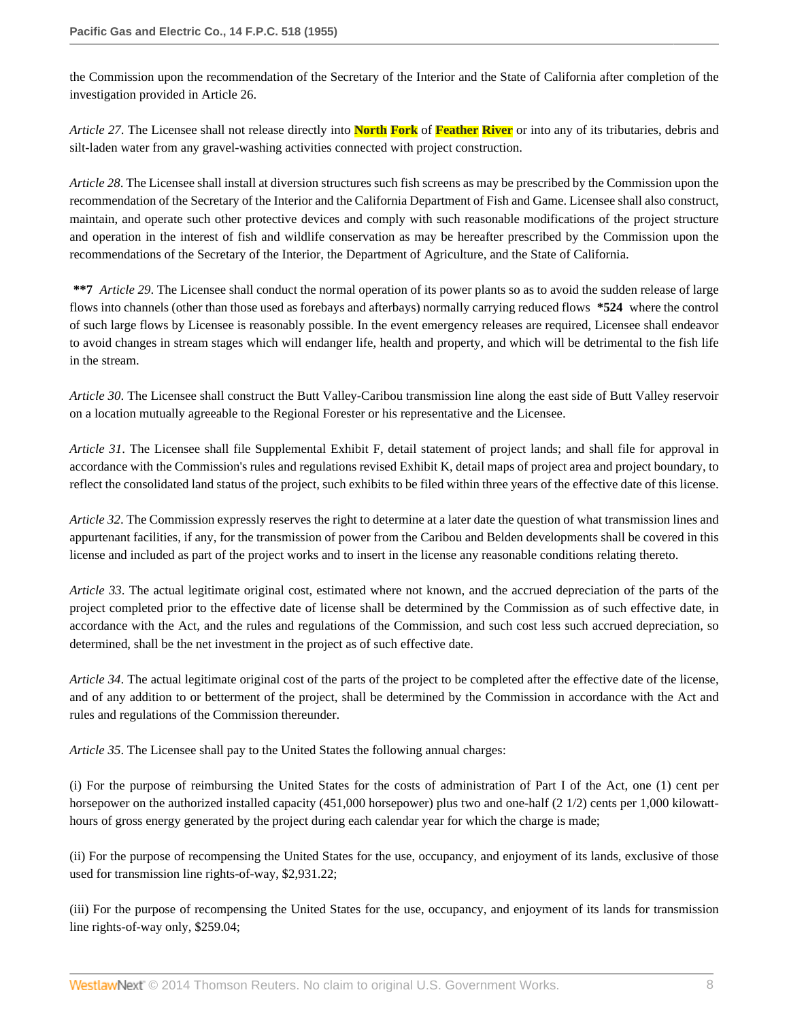the Commission upon the recommendation of the Secretary of the Interior and the State of California after completion of the investigation provided in Article 26.

*Article 27*. The Licensee shall not release directly into **North Fork** of **Feather River** or into any of its tributaries, debris and silt-laden water from any gravel-washing activities connected with project construction.

*Article 28*. The Licensee shall install at diversion structures such fish screens as may be prescribed by the Commission upon the recommendation of the Secretary of the Interior and the California Department of Fish and Game. Licensee shall also construct, maintain, and operate such other protective devices and comply with such reasonable modifications of the project structure and operation in the interest of fish and wildlife conservation as may be hereafter prescribed by the Commission upon the recommendations of the Secretary of the Interior, the Department of Agriculture, and the State of California.

**\*\*7** *Article 29*. The Licensee shall conduct the normal operation of its power plants so as to avoid the sudden release of large flows into channels (other than those used as forebays and afterbays) normally carrying reduced flows **\*524** where the control of such large flows by Licensee is reasonably possible. In the event emergency releases are required, Licensee shall endeavor to avoid changes in stream stages which will endanger life, health and property, and which will be detrimental to the fish life in the stream.

*Article 30*. The Licensee shall construct the Butt Valley-Caribou transmission line along the east side of Butt Valley reservoir on a location mutually agreeable to the Regional Forester or his representative and the Licensee.

*Article 31*. The Licensee shall file Supplemental Exhibit F, detail statement of project lands; and shall file for approval in accordance with the Commission's rules and regulations revised Exhibit K, detail maps of project area and project boundary, to reflect the consolidated land status of the project, such exhibits to be filed within three years of the effective date of this license.

*Article 32*. The Commission expressly reserves the right to determine at a later date the question of what transmission lines and appurtenant facilities, if any, for the transmission of power from the Caribou and Belden developments shall be covered in this license and included as part of the project works and to insert in the license any reasonable conditions relating thereto.

*Article 33*. The actual legitimate original cost, estimated where not known, and the accrued depreciation of the parts of the project completed prior to the effective date of license shall be determined by the Commission as of such effective date, in accordance with the Act, and the rules and regulations of the Commission, and such cost less such accrued depreciation, so determined, shall be the net investment in the project as of such effective date.

*Article 34*. The actual legitimate original cost of the parts of the project to be completed after the effective date of the license, and of any addition to or betterment of the project, shall be determined by the Commission in accordance with the Act and rules and regulations of the Commission thereunder.

*Article 35*. The Licensee shall pay to the United States the following annual charges:

(i) For the purpose of reimbursing the United States for the costs of administration of Part I of the Act, one (1) cent per horsepower on the authorized installed capacity (451,000 horsepower) plus two and one-half (2 1/2) cents per 1,000 kilowatthours of gross energy generated by the project during each calendar year for which the charge is made;

(ii) For the purpose of recompensing the United States for the use, occupancy, and enjoyment of its lands, exclusive of those used for transmission line rights-of-way, \$2,931.22;

(iii) For the purpose of recompensing the United States for the use, occupancy, and enjoyment of its lands for transmission line rights-of-way only, \$259.04;